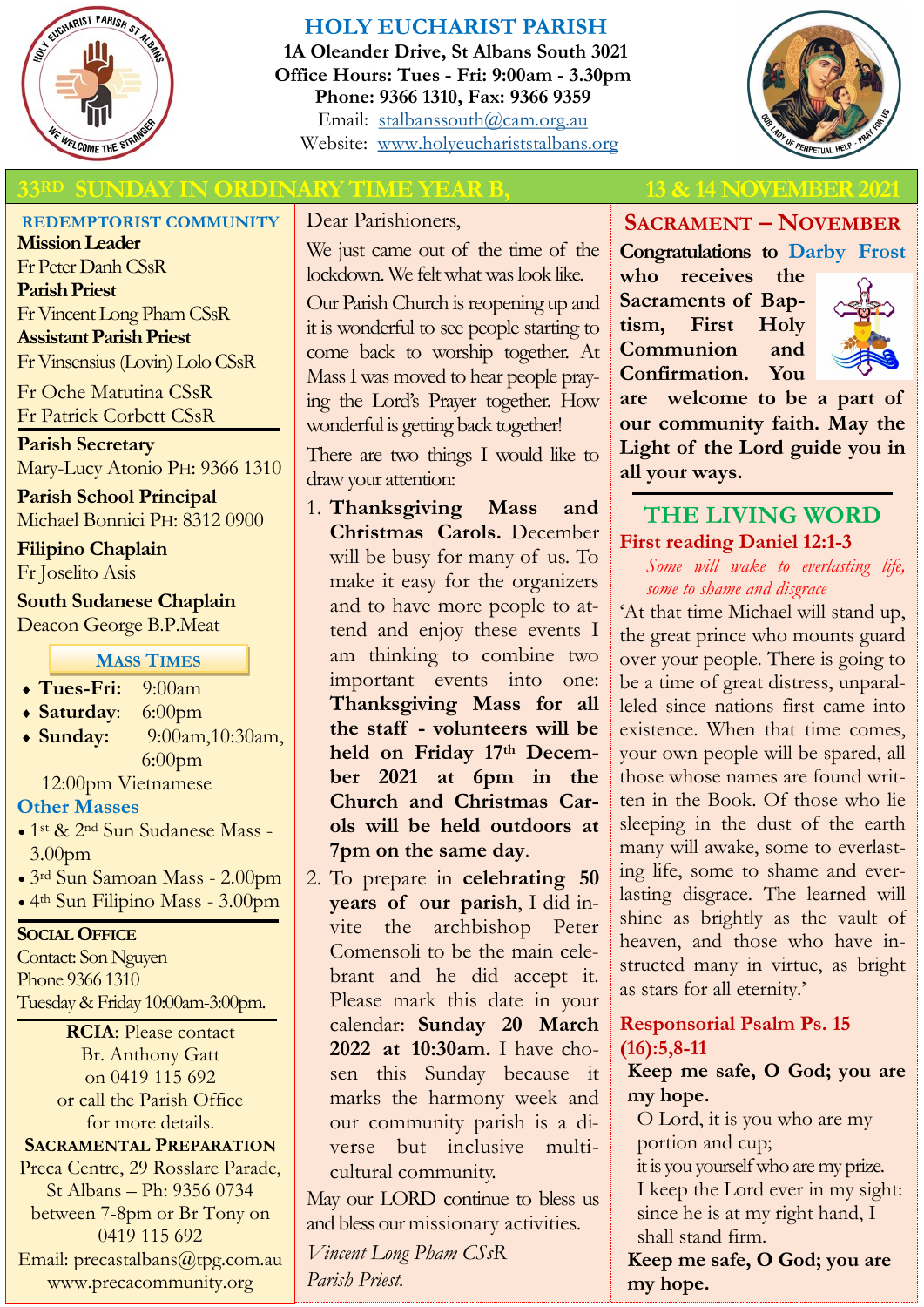

## **HOLY EUCHARIST PARISH**

**1A Oleander Drive, St Albans South 3021 Office Hours: Tues - Fri: 9:00am - 3.30pm Phone: 9366 1310, Fax: 9366 9359** Email: [stalbanssouth@cam.org.au](mailto:stalbanssouth@cam.org.au) Website:[www.holyeuchariststalbans.org](http://www.holyeuchariststalbans.org)



## **33R SUNDAY IN ORDINARY TIME YEAR B, 13 & 14 NOVEMBER 2021**

#### **REDEMPTORIST COMMUNITY**

**Mission Leader** Fr Peter Danh CSsR **Parish Priest** Fr Vincent Long Pham CSsR **Assistant Parish Priest**  Fr Vinsensius (Lovin) Lolo CSsR

Fr Oche Matutina CSsR Fr Patrick Corbett CSsR

**Parish Secretary** Mary-Lucy Atonio PH: 9366 1310

**Parish School Principal** Michael Bonnici PH: 8312 0900

**Filipino Chaplain** Fr Joselito Asis

## **South Sudanese Chaplain** Deacon George B.P.Meat

**MASS TIMES**

- **Tues-Fri:** 9:00am
- **Saturday**: 6:00pm
- **Sunday:** 9:00am,10:30am, 6:00pm

12:00pm Vietnamese

## **Other Masses**

- 1st & 2nd Sun Sudanese Mass 3.00pm
- 3rd Sun Samoan Mass 2.00pm
- 4th Sun Filipino Mass 3.00pm

#### **SOCIAL OFFICE**

Contact: Son Nguyen Phone 9366 1310 Tuesday & Friday 10:00am-3:00pm.

**RCIA**: Please contact Br. Anthony Gatt on 0419 115 692 or call the Parish Office for more details. **SACRAMENTAL PREPARATION**

Preca Centre, 29 Rosslare Parade, St Albans – Ph: 9356 0734 between 7-8pm or Br Tony on 0419 115 692 Email: precastalbans@tpg.com.au www.precacommunity.org

Dear Parishioners,

We just came out of the time of the lockdown. We felt what was look like.

Our Parish Church is reopening up and it is wonderful to see people starting to come back to worship together. At Mass I was moved to hear people praying the Lord's Prayer together. How wonderful is getting back together!

There are two things I would like to draw your attention:

- 1. **Thanksgiving Mass and Christmas Carols.** December will be busy for many of us. To make it easy for the organizers and to have more people to attend and enjoy these events I am thinking to combine two important events into one: **Thanksgiving Mass for all the staff - volunteers will be held on Friday 17th December 2021 at 6pm in the Church and Christmas Carols will be held outdoors at 7pm on the same day**.
- 2. To prepare in **celebrating 50 years of our parish**, I did invite the archbishop Peter Comensoli to be the main celebrant and he did accept it. Please mark this date in your calendar: **Sunday 20 March 2022 at 10:30am.** I have chosen this Sunday because it marks the harmony week and our community parish is a diverse but inclusive multicultural community.

May our LORD continue to bless us and bless our missionary activities.

*Vincent Long Pham CSsR Parish Priest.* 

**SACRAMENT – NOVEMBER**

**Congratulations to Darby Frost who receives the Sacraments of Baptism, First Holy Communion and Confirmation. You** 



**are welcome to be a part of our community faith. May the Light of the Lord guide you in all your ways.**

## **THE LIVING WORD First reading Daniel 12:1-3**

*Some will wake to everlasting life, some to shame and disgrace*

'At that time Michael will stand up, the great prince who mounts guard over your people. There is going to be a time of great distress, unparalleled since nations first came into existence. When that time comes, your own people will be spared, all those whose names are found written in the Book. Of those who lie sleeping in the dust of the earth many will awake, some to everlasting life, some to shame and everlasting disgrace. The learned will shine as brightly as the vault of heaven, and those who have instructed many in virtue, as bright as stars for all eternity.'

## **Responsorial Psalm Ps. 15 (16):5,8-11**

**Keep me safe, O God; you are my hope.**

O Lord, it is you who are my portion and cup; it is you yourself who are my prize. I keep the Lord ever in my sight:

since he is at my right hand, I shall stand firm.

**Keep me safe, O God; you are my hope.**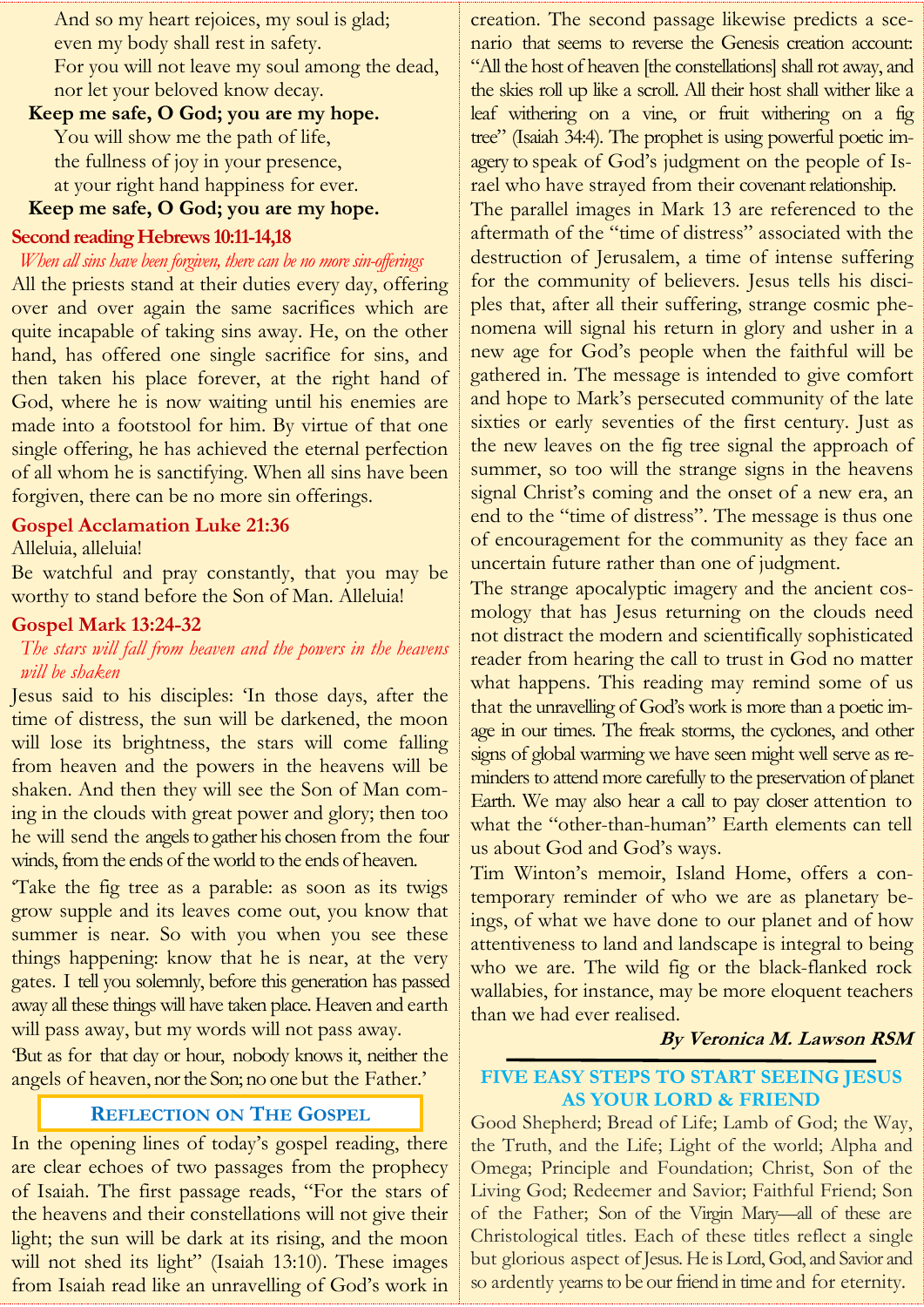And so my heart rejoices, my soul is glad; even my body shall rest in safety. For you will not leave my soul among the dead, nor let your beloved know decay.

**Keep me safe, O God; you are my hope.** You will show me the path of life, the fullness of joy in your presence, at your right hand happiness for ever.

## **Keep me safe, O God; you are my hope.**

#### **Second reading Hebrews 10:11-14,18**

#### *When all sins have been forgiven, there can be no more sin-offerings*

All the priests stand at their duties every day, offering over and over again the same sacrifices which are quite incapable of taking sins away. He, on the other hand, has offered one single sacrifice for sins, and then taken his place forever, at the right hand of God, where he is now waiting until his enemies are made into a footstool for him. By virtue of that one single offering, he has achieved the eternal perfection of all whom he is sanctifying. When all sins have been forgiven, there can be no more sin offerings.

#### **Gospel Acclamation Luke 21:36**

#### Alleluia, alleluia!

Be watchful and pray constantly, that you may be worthy to stand before the Son of Man. Alleluia!

#### **Gospel Mark 13:24-32**

#### *The stars will fall from heaven and the powers in the heavens will be shaken*

Jesus said to his disciples: 'In those days, after the time of distress, the sun will be darkened, the moon will lose its brightness, the stars will come falling from heaven and the powers in the heavens will be shaken. And then they will see the Son of Man coming in the clouds with great power and glory; then too he will send the angels to gather his chosen from the four winds, from the ends of the world to the ends of heaven.

'Take the fig tree as a parable: as soon as its twigs grow supple and its leaves come out, you know that summer is near. So with you when you see these things happening: know that he is near, at the very gates. I tell you solemnly, before this generation has passed away all these things will have taken place. Heaven and earth will pass away, but my words will not pass away.

'But as for that day or hour, nobody knows it, neither the angels of heaven, nor the Son; no one but the Father.'

#### **REFLECTION ON THE GOSPEL**

In the opening lines of today's gospel reading, there are clear echoes of two passages from the prophecy of Isaiah. The first passage reads, "For the stars of the heavens and their constellations will not give their light; the sun will be dark at its rising, and the moon will not shed its light" (Isaiah 13:10). These images from Isaiah read like an unravelling of God's work in

creation. The second passage likewise predicts a scenario that seems to reverse the Genesis creation account: "All the host of heaven [the constellations] shall rot away, and the skies roll up like a scroll. All their host shall wither like a leaf withering on a vine, or fruit withering on a fig tree" (Isaiah 34:4). The prophet is using powerful poetic imagery to speak of God's judgment on the people of Israel who have strayed from their covenant relationship.

The parallel images in Mark 13 are referenced to the aftermath of the "time of distress" associated with the destruction of Jerusalem, a time of intense suffering for the community of believers. Jesus tells his disciples that, after all their suffering, strange cosmic phenomena will signal his return in glory and usher in a new age for God's people when the faithful will be gathered in. The message is intended to give comfort and hope to Mark's persecuted community of the late sixties or early seventies of the first century. Just as the new leaves on the fig tree signal the approach of summer, so too will the strange signs in the heavens signal Christ's coming and the onset of a new era, an end to the "time of distress". The message is thus one of encouragement for the community as they face an uncertain future rather than one of judgment.

The strange apocalyptic imagery and the ancient cosmology that has Jesus returning on the clouds need not distract the modern and scientifically sophisticated reader from hearing the call to trust in God no matter what happens. This reading may remind some of us that the unravelling of God's work is more than a poetic image in our times. The freak storms, the cyclones, and other signs of global warming we have seen might well serve as reminders to attend more carefully to the preservation of planet Earth. We may also hear a call to pay closer attention to what the "other-than-human" Earth elements can tell us about God and God's ways.

Tim Winton's memoir, Island Home, offers a contemporary reminder of who we are as planetary beings, of what we have done to our planet and of how attentiveness to land and landscape is integral to being who we are. The wild fig or the black-flanked rock wallabies, for instance, may be more eloquent teachers than we had ever realised.

#### **By Veronica M. Lawson RSM**

#### **FIVE EASY STEPS TO START SEEING JESUS AS YOUR LORD & FRIEND**

Good Shepherd; Bread of Life; Lamb of God; the Way, the Truth, and the Life; Light of the world; Alpha and Omega; Principle and Foundation; Christ, Son of the Living God; Redeemer and Savior; Faithful Friend; Son of the Father; Son of the Virgin Mary—all of these are Christological titles. Each of these titles reflect a single but glorious aspect of Jesus. He is Lord, God, and Savior and so ardently yearns to be our friend in time and for eternity.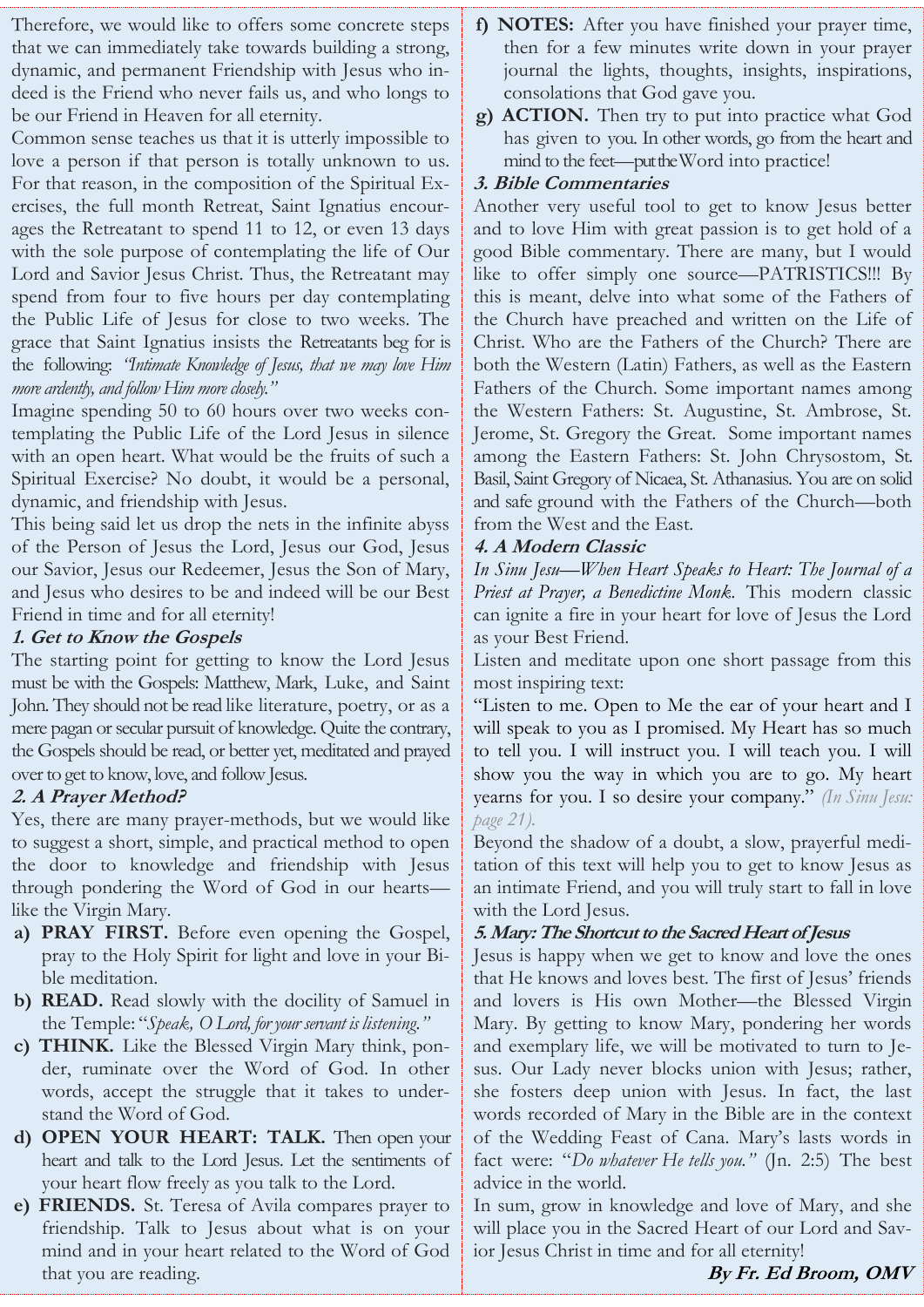Therefore, we would like to offers some concrete steps that we can immediately take towards building a strong, dynamic, and permanent Friendship with Jesus who indeed is the Friend who never fails us, and who longs to be our Friend in Heaven for all eternity.

Common sense teaches us that it is utterly impossible to love a person if that person is totally unknown to us. For that reason, in the composition of the Spiritual Exercises, the full month Retreat, Saint Ignatius encourages the Retreatant to spend 11 to 12, or even 13 days with the sole purpose of contemplating the life of Our Lord and Savior Jesus Christ. Thus, the Retreatant may spend from four to five hours per day contemplating the Public Life of Jesus for close to two weeks. The grace that Saint Ignatius insists the Retreatants beg for is the following: *"Intimate Knowledge of Jesus, that we may love Him more ardently, and follow Him more closely."*

Imagine spending 50 to 60 hours over two weeks contemplating the Public Life of the Lord Jesus in silence with an open heart. What would be the fruits of such a Spiritual Exercise? No doubt, it would be a personal, dynamic, and friendship with Jesus.

This being said let us drop the nets in the infinite abyss of the Person of Jesus the Lord, Jesus our God, Jesus our Savior, Jesus our Redeemer, Jesus the Son of Mary, and Jesus who desires to be and indeed will be our Best Friend in time and for all eternity!

#### **1. Get to Know the Gospels**

The starting point for getting to know the Lord Jesus must be with the Gospels: Matthew, Mark, Luke, and Saint John. They should not be read like literature, poetry, or as a mere pagan or secular pursuit of knowledge. Quite the contrary, the Gospels should be read, or better yet, meditated and prayed over to get to know, love, and follow Jesus.

#### **2. A Prayer Method?**

Yes, there are many prayer-methods, but we would like to suggest a short, simple, and practical method to open the door to knowledge and friendship with Jesus through pondering the Word of God in our hearts like the Virgin Mary.

- **a) PRAY FIRST.** Before even opening the Gospel, pray to the Holy Spirit for light and love in your Bible meditation.
- **b) READ.** Read slowly with the docility of Samuel in the Temple: "*Speak, O Lord, for your servant is listening."*
- **c) THINK.** Like the Blessed Virgin Mary think, ponder, ruminate over the Word of God. In other words, accept the struggle that it takes to understand the Word of God.
- **d) OPEN YOUR HEART: TALK.** Then open your heart and talk to the Lord Jesus. Let the sentiments of your heart flow freely as you talk to the Lord.
- **e) FRIENDS.** St. Teresa of Avila compares prayer to friendship. Talk to Jesus about what is on your mind and in your heart related to the Word of God that you are reading.
- **f) NOTES:** After you have finished your prayer time, then for a few minutes write down in your prayer journal the lights, thoughts, insights, inspirations, consolations that God gave you.
- **g) ACTION.** Then try to put into practice what God has given to you. In other words, go from the heart and mind to the feet—put the Word into practice!

#### **3. Bible Commentaries**

Another very useful tool to get to know Jesus better and to love Him with great passion is to get hold of a good Bible commentary. There are many, but I would like to offer simply one source—PATRISTICS!!! By this is meant, delve into what some of the Fathers of the Church have preached and written on the Life of Christ. Who are the Fathers of the Church? There are both the Western (Latin) Fathers, as well as the Eastern Fathers of the Church. Some important names among the Western Fathers: St. Augustine, St. Ambrose, St. Jerome, St. Gregory the Great. Some important names among the Eastern Fathers: St. John Chrysostom, St. Basil, Saint Gregory of Nicaea, St. Athanasius. You are on solid and safe ground with the Fathers of the Church—both from the West and the East.

#### **4. A Modern Classic**

*In Sinu Jesu—[When Heart Speaks to Heart: The Journal of a](https://amzn.to/3ER4wsy)  [Priest at Prayer, a Benedictine Monk.](https://amzn.to/3ER4wsy)* This modern classic can ignite a fire in your heart for love of Jesus the Lord as your Best Friend.

Listen and meditate upon one short passage from this most inspiring text:

"Listen to me. Open to Me the ear of your heart and I will speak to you as I promised. My Heart has so much to tell you. I will instruct you. I will teach you. I will show you the way in which you are to go. My heart yearns for you. I so desire your company." *(In Sinu Jesu: page 21).*

Beyond the shadow of a doubt, a slow, prayerful meditation of this text will help you to get to know Jesus as an intimate Friend, and you will truly start to fall in love with the Lord Jesus.

#### **5. Mary: The Shortcut to the Sacred Heart of Jesus**

Jesus is happy when we get to know and love the ones that He knows and loves best. The first of Jesus' friends and lovers is His own Mother—the Blessed Virgin Mary. By getting to know Mary, pondering her words and exemplary life, we will be motivated to turn to Jesus. Our Lady never blocks union with Jesus; rather, she fosters deep union with Jesus. In fact, the last words recorded of Mary in the Bible are in the context of the Wedding Feast of Cana. Mary's lasts words in fact were: "*Do whatever He tells you."* (Jn. 2:5) The best advice in the world.

In sum, grow in knowledge and love of Mary, and she will place you in the Sacred Heart of our Lord and Savior Jesus Christ in time and for all eternity!

**By Fr. Ed Broom, OMV**